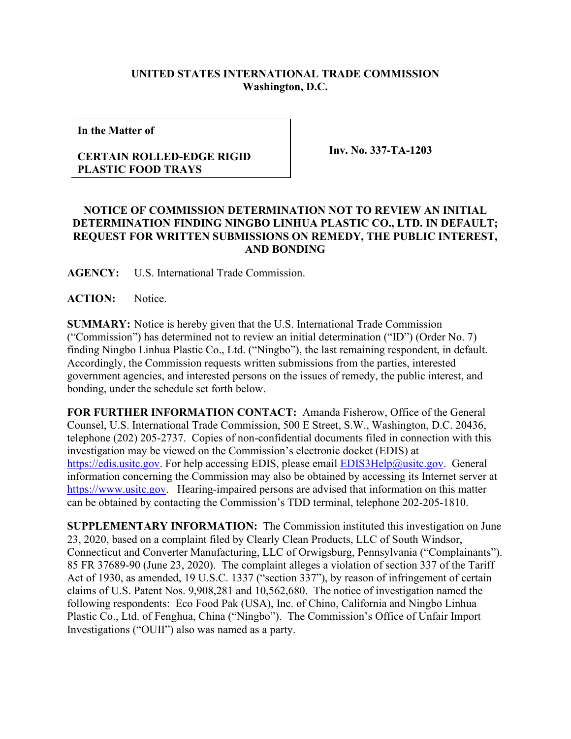## **UNITED STATES INTERNATIONAL TRADE COMMISSION Washington, D.C.**

**In the Matter of**

## **CERTAIN ROLLED-EDGE RIGID PLASTIC FOOD TRAYS**

**Inv. No. 337-TA-1203**

## **NOTICE OF COMMISSION DETERMINATION NOT TO REVIEW AN INITIAL DETERMINATION FINDING NINGBO LINHUA PLASTIC CO., LTD. IN DEFAULT; REQUEST FOR WRITTEN SUBMISSIONS ON REMEDY, THE PUBLIC INTEREST, AND BONDING**

**AGENCY:** U.S. International Trade Commission.

**ACTION:** Notice.

**SUMMARY:** Notice is hereby given that the U.S. International Trade Commission ("Commission") has determined not to review an initial determination ("ID") (Order No. 7) finding Ningbo Linhua Plastic Co., Ltd. ("Ningbo"), the last remaining respondent, in default. Accordingly, the Commission requests written submissions from the parties, interested government agencies, and interested persons on the issues of remedy, the public interest, and bonding, under the schedule set forth below.

**FOR FURTHER INFORMATION CONTACT:** Amanda Fisherow, Office of the General Counsel, U.S. International Trade Commission, 500 E Street, S.W., Washington, D.C. 20436, telephone (202) 205-2737. Copies of non-confidential documents filed in connection with this investigation may be viewed on the Commission's electronic docket (EDIS) at [https://edis.usitc.gov.](https://edis.usitc.gov/) For help accessing EDIS, please email [EDIS3Help@usitc.gov.](mailto:EDIS3Help@usitc.gov) General information concerning the Commission may also be obtained by accessing its Internet server at [https://www.usitc.gov.](https://www.usitc.gov/) Hearing-impaired persons are advised that information on this matter can be obtained by contacting the Commission's TDD terminal, telephone 202-205-1810.

**SUPPLEMENTARY INFORMATION:** The Commission instituted this investigation on June 23, 2020, based on a complaint filed by Clearly Clean Products, LLC of South Windsor, Connecticut and Converter Manufacturing, LLC of Orwigsburg, Pennsylvania ("Complainants"). 85 FR 37689-90 (June 23, 2020). The complaint alleges a violation of section 337 of the Tariff Act of 1930, as amended, 19 U.S.C. 1337 ("section 337"), by reason of infringement of certain claims of U.S. Patent Nos. 9,908,281 and 10,562,680. The notice of investigation named the following respondents: Eco Food Pak (USA), Inc. of Chino, California and Ningbo Linhua Plastic Co., Ltd. of Fenghua, China ("Ningbo"). The Commission's Office of Unfair Import Investigations ("OUII") also was named as a party.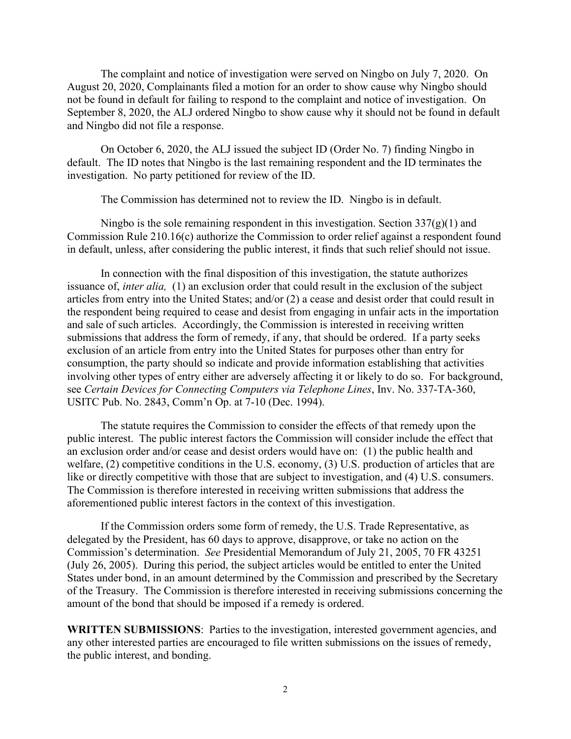The complaint and notice of investigation were served on Ningbo on July 7, 2020. On August 20, 2020, Complainants filed a motion for an order to show cause why Ningbo should not be found in default for failing to respond to the complaint and notice of investigation. On September 8, 2020, the ALJ ordered Ningbo to show cause why it should not be found in default and Ningbo did not file a response.

On October 6, 2020, the ALJ issued the subject ID (Order No. 7) finding Ningbo in default. The ID notes that Ningbo is the last remaining respondent and the ID terminates the investigation. No party petitioned for review of the ID.

The Commission has determined not to review the ID. Ningbo is in default.

Ningbo is the sole remaining respondent in this investigation. Section  $337(g)(1)$  and Commission Rule 210.16(c) authorize the Commission to order relief against a respondent found in default, unless, after considering the public interest, it finds that such relief should not issue.

In connection with the final disposition of this investigation, the statute authorizes issuance of, *inter alia,* (1) an exclusion order that could result in the exclusion of the subject articles from entry into the United States; and/or (2) a cease and desist order that could result in the respondent being required to cease and desist from engaging in unfair acts in the importation and sale of such articles. Accordingly, the Commission is interested in receiving written submissions that address the form of remedy, if any, that should be ordered. If a party seeks exclusion of an article from entry into the United States for purposes other than entry for consumption, the party should so indicate and provide information establishing that activities involving other types of entry either are adversely affecting it or likely to do so. For background, see *Certain Devices for Connecting Computers via Telephone Lines*, Inv. No. 337-TA-360, USITC Pub. No. 2843, Comm'n Op. at 7-10 (Dec. 1994).

The statute requires the Commission to consider the effects of that remedy upon the public interest. The public interest factors the Commission will consider include the effect that an exclusion order and/or cease and desist orders would have on: (1) the public health and welfare, (2) competitive conditions in the U.S. economy, (3) U.S. production of articles that are like or directly competitive with those that are subject to investigation, and (4) U.S. consumers. The Commission is therefore interested in receiving written submissions that address the aforementioned public interest factors in the context of this investigation.

If the Commission orders some form of remedy, the U.S. Trade Representative, as delegated by the President, has 60 days to approve, disapprove, or take no action on the Commission's determination. *See* Presidential Memorandum of July 21, 2005, 70 FR 43251 (July 26, 2005). During this period, the subject articles would be entitled to enter the United States under bond, in an amount determined by the Commission and prescribed by the Secretary of the Treasury. The Commission is therefore interested in receiving submissions concerning the amount of the bond that should be imposed if a remedy is ordered.

**WRITTEN SUBMISSIONS**: Parties to the investigation, interested government agencies, and any other interested parties are encouraged to file written submissions on the issues of remedy, the public interest, and bonding.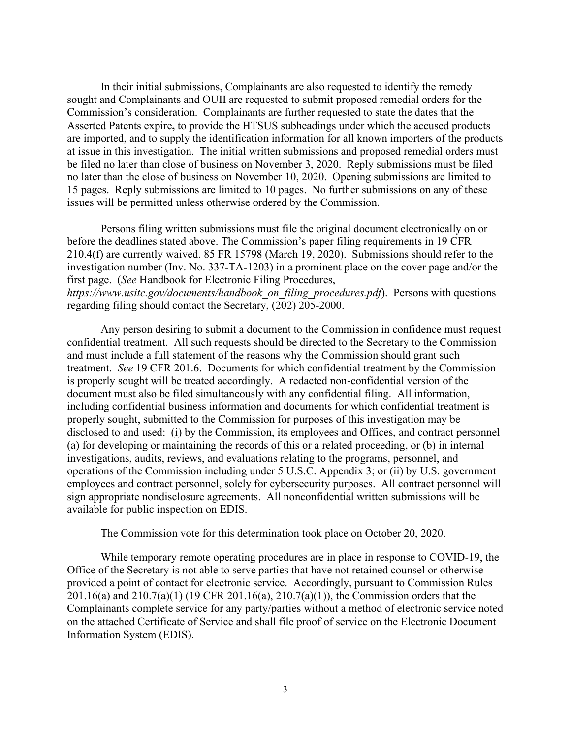In their initial submissions, Complainants are also requested to identify the remedy sought and Complainants and OUII are requested to submit proposed remedial orders for the Commission's consideration. Complainants are further requested to state the dates that the Asserted Patents expire**,** to provide the HTSUS subheadings under which the accused products are imported, and to supply the identification information for all known importers of the products at issue in this investigation. The initial written submissions and proposed remedial orders must be filed no later than close of business on November 3, 2020. Reply submissions must be filed no later than the close of business on November 10, 2020. Opening submissions are limited to 15 pages. Reply submissions are limited to 10 pages. No further submissions on any of these issues will be permitted unless otherwise ordered by the Commission.

Persons filing written submissions must file the original document electronically on or before the deadlines stated above. The Commission's paper filing requirements in 19 CFR 210.4(f) are currently waived. 85 FR 15798 (March 19, 2020). Submissions should refer to the investigation number (Inv. No. 337-TA-1203) in a prominent place on the cover page and/or the first page. (*See* Handbook for Electronic Filing Procedures, *https://www.usitc.gov/documents/handbook\_on\_filing\_procedures.pdf*). Persons with questions regarding filing should contact the Secretary, (202) 205-2000.

Any person desiring to submit a document to the Commission in confidence must request confidential treatment. All such requests should be directed to the Secretary to the Commission and must include a full statement of the reasons why the Commission should grant such treatment. *See* 19 CFR 201.6. Documents for which confidential treatment by the Commission is properly sought will be treated accordingly. A redacted non-confidential version of the document must also be filed simultaneously with any confidential filing. All information, including confidential business information and documents for which confidential treatment is properly sought, submitted to the Commission for purposes of this investigation may be disclosed to and used: (i) by the Commission, its employees and Offices, and contract personnel (a) for developing or maintaining the records of this or a related proceeding, or (b) in internal investigations, audits, reviews, and evaluations relating to the programs, personnel, and operations of the Commission including under 5 U.S.C. Appendix 3; or (ii) by U.S. government employees and contract personnel, solely for cybersecurity purposes. All contract personnel will sign appropriate nondisclosure agreements. All nonconfidential written submissions will be available for public inspection on EDIS.

The Commission vote for this determination took place on October 20, 2020.

While temporary remote operating procedures are in place in response to COVID-19, the Office of the Secretary is not able to serve parties that have not retained counsel or otherwise provided a point of contact for electronic service. Accordingly, pursuant to Commission Rules 201.16(a) and 210.7(a)(1) (19 CFR 201.16(a), 210.7(a)(1)), the Commission orders that the Complainants complete service for any party/parties without a method of electronic service noted on the attached Certificate of Service and shall file proof of service on the Electronic Document Information System (EDIS).